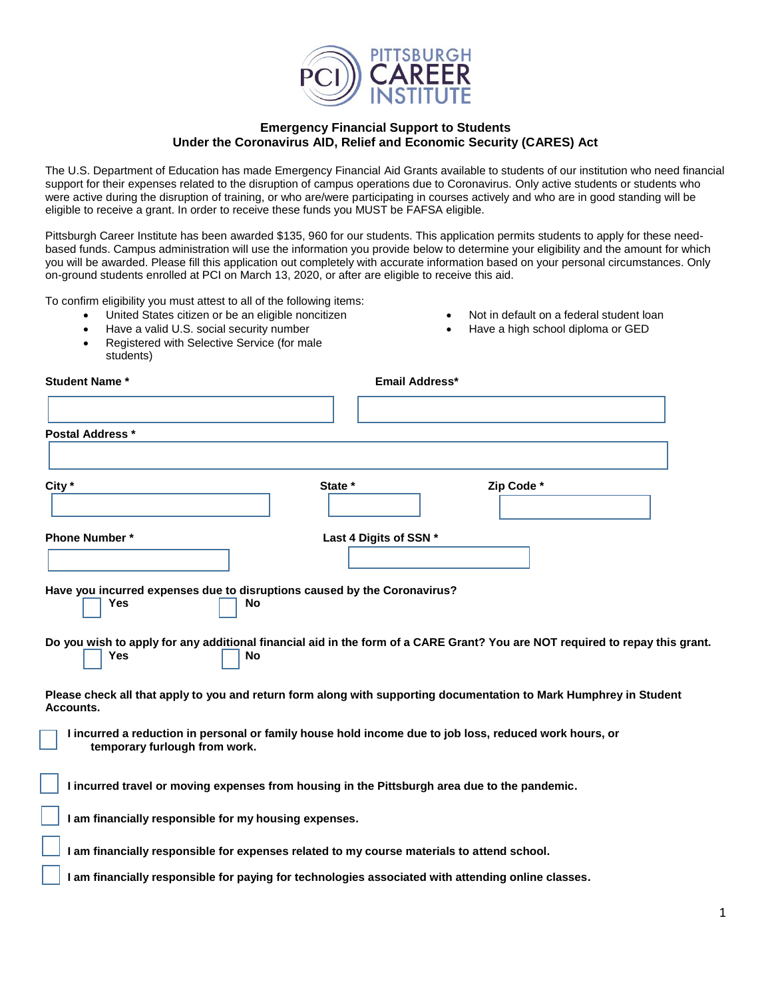

## **Emergency Financial Support to Students Under the Coronavirus AID, Relief and Economic Security (CARES) Act**

The U.S. Department of Education has made Emergency Financial Aid Grants available to students of our institution who need financial support for their expenses related to the disruption of campus operations due to Coronavirus. Only active students or students who were active during the disruption of training, or who are/were participating in courses actively and who are in good standing will be eligible to receive a grant. In order to receive these funds you MUST be FAFSA eligible.

Pittsburgh Career Institute has been awarded \$135, 960 for our students. This application permits students to apply for these needbased funds. Campus administration will use the information you provide below to determine your eligibility and the amount for which you will be awarded. Please fill this application out completely with accurate information based on your personal circumstances. Only on-ground students enrolled at PCI on March 13, 2020, or after are eligible to receive this aid.

To confirm eligibility you must attest to all of the following items:

- United States citizen or be an eligible noncitizen
- Have a valid U.S. social security number

 $\overline{a}$ 

 Registered with Selective Service (for male students)

|  |  |  |  |  | Not in default on a federal student loan |  |
|--|--|--|--|--|------------------------------------------|--|
|--|--|--|--|--|------------------------------------------|--|

- Have a high school diploma or GED
- **Student Name \* Email Address\* Postal Address \* City \* State \* Zip Code \* Phone Number \*** Last 4 Digits of SSN \* **Have you incurred expenses due to disruptions caused by the Coronavirus? Yes** No **Do you wish to apply for any additional financial aid in the form of a CARE Grant? You are NOT required to repay this grant. 1** Yes No **Please check all that apply to you and return form along with supporting documentation to Mark Humphrey in Student Accounts. I incurred a reduction in personal or family house hold income due to job loss, reduced work hours, or temporary furlough from work. I incurred travel or moving expenses from housing in the Pittsburgh area due to the pandemic. I am financially responsible for my housing expenses. I am financially responsible for expenses related to my course materials to attend school.**
	- **I am financially responsible for paying for technologies associated with attending online classes.**